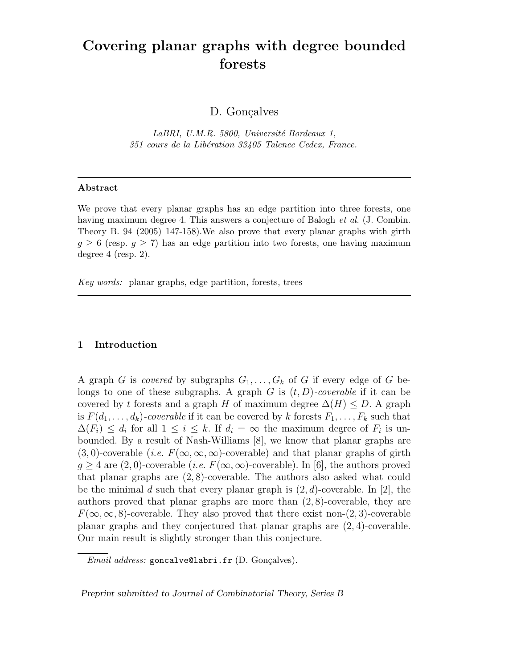# Covering planar graphs with degree bounded forests

D. Gonçalves

LaBRI, U.M.R. 5800, Université Bordeaux 1, 351 cours de la Libération 33405 Talence Cedex, France.

#### Abstract

We prove that every planar graphs has an edge partition into three forests, one having maximum degree 4. This answers a conjecture of Balogh *et al.* (J. Combin. Theory B. 94 (2005) 147-158).We also prove that every planar graphs with girth  $g \geq 6$  (resp.  $g \geq 7$ ) has an edge partition into two forests, one having maximum degree 4 (resp. 2).

Key words: planar graphs, edge partition, forests, trees

### 1 Introduction

A graph G is covered by subgraphs  $G_1, \ldots, G_k$  of G if every edge of G belongs to one of these subgraphs. A graph G is  $(t, D)$ -coverable if it can be covered by t forests and a graph H of maximum degree  $\Delta(H) \leq D$ . A graph is  $F(d_1, \ldots, d_k)$ -coverable if it can be covered by k forests  $F_1, \ldots, F_k$  such that  $\Delta(F_i) \leq d_i$  for all  $1 \leq i \leq k$ . If  $d_i = \infty$  the maximum degree of  $F_i$  is unbounded. By a result of Nash-Williams [8], we know that planar graphs are  $(3,0)$ -coverable (*i.e.*  $F(\infty,\infty,\infty)$ -coverable) and that planar graphs of girth  $q > 4$  are  $(2, 0)$ -coverable (*i.e.*  $F(\infty, \infty)$ -coverable). In [6], the authors proved that planar graphs are (2, 8)-coverable. The authors also asked what could be the minimal d such that every planar graph is  $(2, d)$ -coverable. In [2], the authors proved that planar graphs are more than  $(2, 8)$ -coverable, they are  $F(\infty, \infty, 8)$ -coverable. They also proved that there exist non-(2,3)-coverable planar graphs and they conjectured that planar graphs are (2, 4)-coverable. Our main result is slightly stronger than this conjecture.

Preprint submitted to Journal of Combinatorial Theory, Series B

 $Email$   $address:$  goncalve $@labri.fr$  (D. Gonçalves).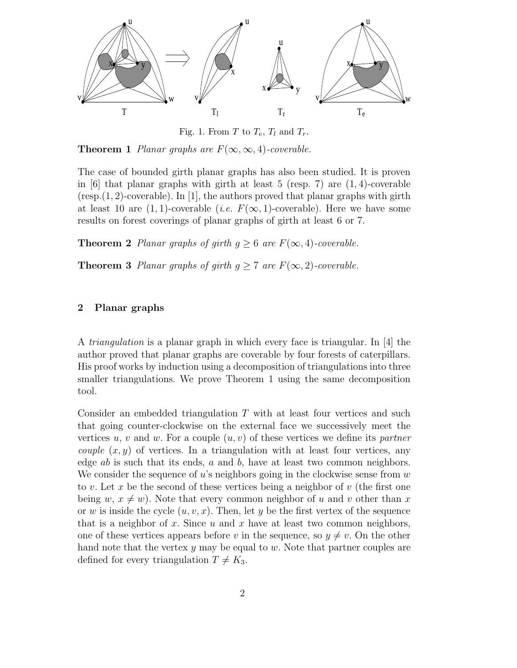

Fig. 1. From T to  $T_e$ ,  $T_l$  and  $T_r$ .

**Theorem 1** Planar graphs are  $F(\infty, \infty, 4)$ -coverable.

The case of bounded girth planar graphs has also been studied. It is proven in  $[6]$  that planar graphs with girth at least 5 (resp. 7) are  $(1, 4)$ -coverable  $(resp. (1, 2)-coverable)$ . In [1], the authors proved that planar graphs with girth at least 10 are  $(1, 1)$ -coverable  $(i.e. F(\infty, 1)$ -coverable). Here we have some results on forest coverings of planar graphs of girth at least 6 or 7.

**Theorem 2** Planar graphs of girth  $g \geq 6$  are  $F(\infty, 4)$ -coverable.

**Theorem 3** Planar graphs of girth  $g \ge 7$  are  $F(\infty, 2)$ -coverable.

## 2 Planar graphs

A triangulation is a planar graph in which every face is triangular. In [4] the author proved that planar graphs are coverable by four forests of caterpillars. His proof works by induction using a decomposition of triangulations into three smaller triangulations. We prove Theorem 1 using the same decomposition tool.

Consider an embedded triangulation T with at least four vertices and such that going counter-clockwise on the external face we successively meet the vertices u, v and w. For a couple  $(u, v)$  of these vertices we define its partner *couple*  $(x, y)$  of vertices. In a triangulation with at least four vertices, any edge  $ab$  is such that its ends,  $a$  and  $b$ , have at least two common neighbors. We consider the sequence of u's neighbors going in the clockwise sense from  $w$ to v. Let x be the second of these vertices being a neighbor of  $v$  (the first one being w,  $x \neq w$ ). Note that every common neighbor of u and v other than x or w is inside the cycle  $(u, v, x)$ . Then, let y be the first vertex of the sequence that is a neighbor of x. Since  $u$  and  $x$  have at least two common neighbors, one of these vertices appears before v in the sequence, so  $y \neq v$ . On the other hand note that the vertex  $y$  may be equal to  $w$ . Note that partner couples are defined for every triangulation  $T \neq K_3$ .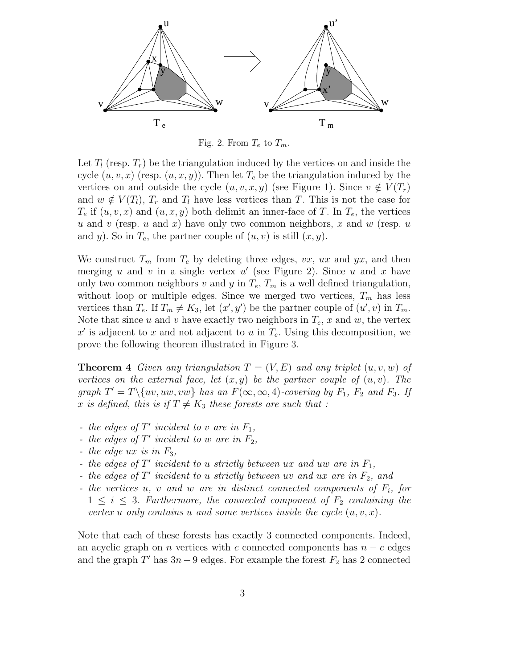

Fig. 2. From  $T_e$  to  $T_m$ .

Let  $T_l$  (resp.  $T_r$ ) be the triangulation induced by the vertices on and inside the cycle  $(u, v, x)$  (resp.  $(u, x, y)$ ). Then let  $T_e$  be the triangulation induced by the vertices on and outside the cycle  $(u, v, x, y)$  (see Figure 1). Since  $v \notin V(T_r)$ and  $w \notin V(T_l)$ ,  $T_r$  and  $T_l$  have less vertices than T. This is not the case for  $T_e$  if  $(u, v, x)$  and  $(u, x, y)$  both delimit an inner-face of T. In  $T_e$ , the vertices u and v (resp. u and x) have only two common neighbors, x and w (resp. u and y). So in  $T_e$ , the partner couple of  $(u, v)$  is still  $(x, y)$ .

We construct  $T_m$  from  $T_e$  by deleting three edges,  $vx$ ,  $ux$  and  $yx$ , and then merging u and v in a single vertex  $u'$  (see Figure 2). Since u and x have only two common neighbors v and y in  $T_e$ ,  $T_m$  is a well defined triangulation, without loop or multiple edges. Since we merged two vertices,  $T_m$  has less vertices than  $T_e$ . If  $T_m \neq K_3$ , let  $(x', y')$  be the partner couple of  $(u', v)$  in  $T_m$ . Note that since u and v have exactly two neighbors in  $T_e$ , x and w, the vertex  $x'$  is adjacent to x and not adjacent to u in  $T_e$ . Using this decomposition, we prove the following theorem illustrated in Figure 3.

**Theorem 4** Given any triangulation  $T = (V, E)$  and any triplet  $(u, v, w)$  of vertices on the external face, let  $(x, y)$  be the partner couple of  $(u, v)$ . The graph  $T' = T \setminus \{uv, uw, vw\}$  has an  $F(\infty, \infty, 4)$ -covering by  $F_1$ ,  $F_2$  and  $F_3$ . If x is defined, this is if  $T \neq K_3$  these forests are such that :

- the edges of  $T'$  incident to v are in  $F_1$ ,
- the edges of  $T'$  incident to w are in  $F_2$ ,
- the edge  $ux$  is in  $F_3$ ,
- the edges of  $T'$  incident to u strictly between ux and uw are in  $F_1$ ,
- the edges of  $T'$  incident to u strictly between uv and ux are in  $F_2$ , and
- the vertices  $u, v$  and  $w$  are in distinct connected components of  $F_i$ , for  $1 \leq i \leq 3$ . Furthermore, the connected component of  $F_2$  containing the vertex u only contains u and some vertices inside the cycle  $(u, v, x)$ .

Note that each of these forests has exactly 3 connected components. Indeed, an acyclic graph on *n* vertices with c connected components has  $n - c$  edges and the graph  $T'$  has  $3n-9$  edges. For example the forest  $F_2$  has 2 connected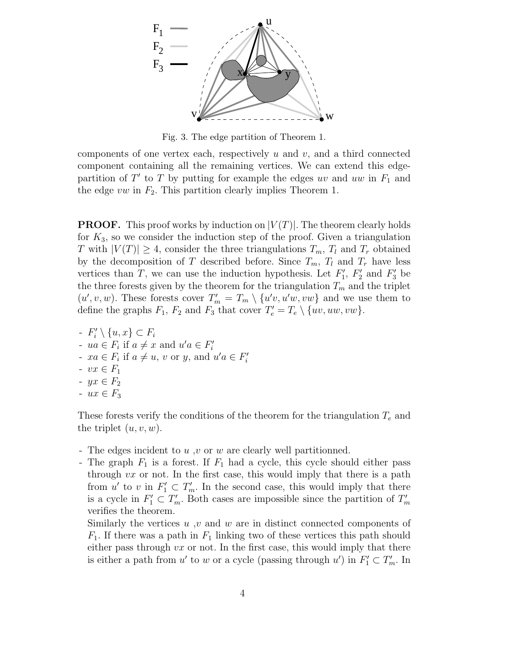

Fig. 3. The edge partition of Theorem 1.

components of one vertex each, respectively  $u$  and  $v$ , and a third connected component containing all the remaining vertices. We can extend this edgepartition of  $T'$  to  $T$  by putting for example the edges uv and uw in  $F_1$  and the edge vw in  $F_2$ . This partition clearly implies Theorem 1.

**PROOF.** This proof works by induction on  $|V(T)|$ . The theorem clearly holds for  $K_3$ , so we consider the induction step of the proof. Given a triangulation T with  $|V(T)| \geq 4$ , consider the three triangulations  $T_m$ ,  $T_l$  and  $T_r$  obtained by the decomposition of T described before. Since  $T_m$ ,  $T_l$  and  $T_r$  have less vertices than T, we can use the induction hypothesis. Let  $F'_1$ ,  $F'_2$  and  $F'_3$  be the three forests given by the theorem for the triangulation  $T_m$  and the triplet  $(u', v, w)$ . These forests cover  $T'_m = T_m \setminus \{u'v, u'w, vw\}$  and we use them to define the graphs  $F_1$ ,  $F_2$  and  $F_3$  that cover  $T'_e = T_e \setminus \{uv, uw, vw\}.$ 

-  $F'_i \setminus \{u, x\} \subset F_i$ -  $ua \in F_i$  if  $a \neq x$  and  $u'a \in F'_i$ -  $xa \in F_i$  if  $a \neq u$ , v or y, and  $u'a \in F'_i$  $- vx \in F_1$ -  $yx \in F_2$ -  $ux \in F_3$ 

These forests verify the conditions of the theorem for the triangulation  $T_e$  and the triplet  $(u, v, w)$ .

- The edges incident to u, v or w are clearly well partitionned.
- The graph  $F_1$  is a forest. If  $F_1$  had a cycle, this cycle should either pass through  $vx$  or not. In the first case, this would imply that there is a path from u' to v in  $F'_1 \subset T'_m$ . In the second case, this would imply that there is a cycle in  $F'_1 \subset T'_m$ . Both cases are impossible since the partition of  $T'_m$ verifies the theorem.

Similarly the vertices  $u, v$  and  $w$  are in distinct connected components of  $F_1$ . If there was a path in  $F_1$  linking two of these vertices this path should either pass through  $vx$  or not. In the first case, this would imply that there is either a path from  $u'$  to  $w$  or a cycle (passing through  $u'$ ) in  $F'_1 \subset T'_m$ . In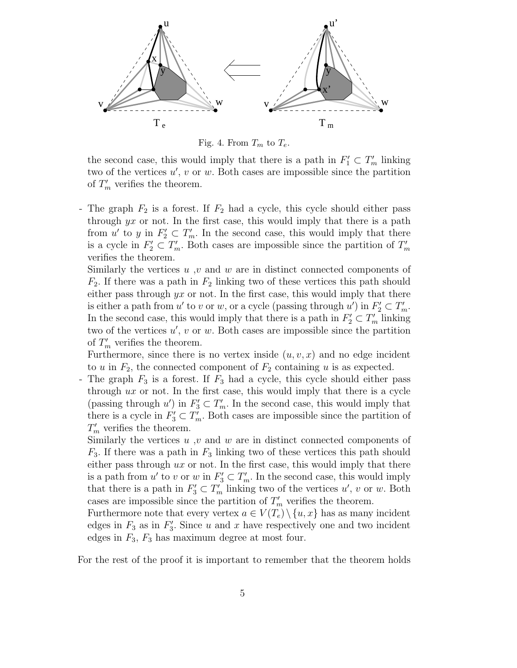

Fig. 4. From  $T_m$  to  $T_e$ .

the second case, this would imply that there is a path in  $F'_1 \subset T'_m$  linking two of the vertices  $u'$ ,  $v$  or  $w$ . Both cases are impossible since the partition of  $T'_m$  verifies the theorem.

- The graph  $F_2$  is a forest. If  $F_2$  had a cycle, this cycle should either pass through  $yx$  or not. In the first case, this would imply that there is a path from u' to y in  $F_2' \subset T_m'$ . In the second case, this would imply that there is a cycle in  $F_2' \subset T_m'$ . Both cases are impossible since the partition of  $T_m'$ verifies the theorem.

Similarly the vertices u, v and w are in distinct connected components of  $F_2$ . If there was a path in  $F_2$  linking two of these vertices this path should either pass through  $yx$  or not. In the first case, this would imply that there is either a path from  $u'$  to v or w, or a cycle (passing through  $u'$ ) in  $F_2' \subset T_m'$ . In the second case, this would imply that there is a path in  $F_2' \subset T_m'$  linking two of the vertices  $u'$ ,  $v$  or  $w$ . Both cases are impossible since the partition of  $T'_m$  verifies the theorem.

Furthermore, since there is no vertex inside  $(u, v, x)$  and no edge incident to u in  $F_2$ , the connected component of  $F_2$  containing u is as expected.

- The graph  $F_3$  is a forest. If  $F_3$  had a cycle, this cycle should either pass through  $ux$  or not. In the first case, this would imply that there is a cycle (passing through  $u'$ ) in  $F'_3 \subset T'_m$ . In the second case, this would imply that there is a cycle in  $F'_3 \subset T'_m$ . Both cases are impossible since the partition of  $T'_m$  verifies the theorem.

Similarly the vertices  $u, v$  and  $w$  are in distinct connected components of  $F_3$ . If there was a path in  $F_3$  linking two of these vertices this path should either pass through  $ux$  or not. In the first case, this would imply that there is a path from  $u'$  to v or w in  $F_3' \subset T_m'$ . In the second case, this would imply that there is a path in  $F_3' \subset T_m'$  linking two of the vertices  $u'$ , v or w. Both cases are impossible since the partition of  $T'_m$  verifies the theorem.

Furthermore note that every vertex  $a \in V(T_e) \setminus \{u, x\}$  has as many incident edges in  $F_3$  as in  $F'_3$ . Since u and x have respectively one and two incident edges in  $F_3$ ,  $F_3$  has maximum degree at most four.

For the rest of the proof it is important to remember that the theorem holds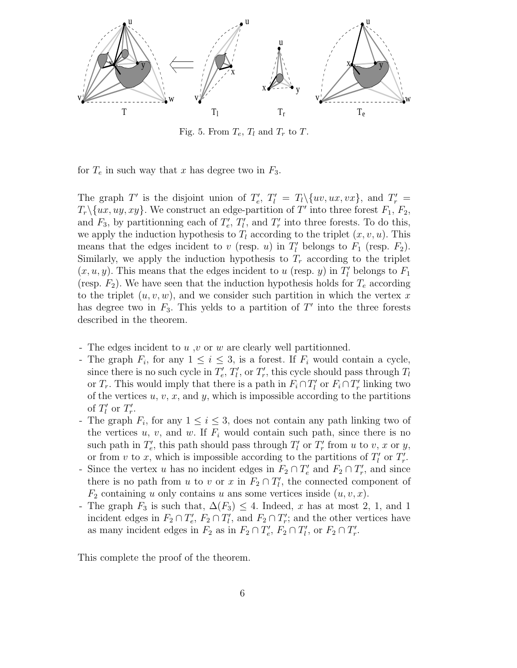

Fig. 5. From  $T_e$ ,  $T_l$  and  $T_r$  to  $T$ .

for  $T_e$  in such way that x has degree two in  $F_3$ .

The graph T' is the disjoint union of  $T'_e$ ,  $T'_l = T_l \setminus \{uv, ux, vx\}$ , and  $T'_r = T_l \setminus \{uv, ux, vx\}$  $T_r \setminus \{ux, uy, xy\}$ . We construct an edge-partition of T' into three forest  $F_1, F_2$ , and  $F_3$ , by partitionning each of  $T'_e, T'_l$ , and  $T'_r$  into three forests. To do this, we apply the induction hypothesis to  $T_l$  according to the triplet  $(x, v, u)$ . This means that the edges incident to v (resp. u) in  $T'_{l}$  belongs to  $F_{1}$  (resp.  $F_{2}$ ). Similarly, we apply the induction hypothesis to  $T_r$  according to the triplet  $(x, u, y)$ . This means that the edges incident to u (resp. y) in  $T'_{l}$  belongs to  $F_{1}$ (resp.  $F_2$ ). We have seen that the induction hypothesis holds for  $T_e$  according to the triplet  $(u, v, w)$ , and we consider such partition in which the vertex x has degree two in  $F_3$ . This yelds to a partition of  $T'$  into the three forests described in the theorem.

- The edges incident to u, v or w are clearly well partitionned.
- The graph  $F_i$ , for any  $1 \leq i \leq 3$ , is a forest. If  $F_i$  would contain a cycle, since there is no such cycle in  $T'_e, T'_l$ , or  $T'_r$ , this cycle should pass through  $T_l$ or  $T_r$ . This would imply that there is a path in  $F_i \cap T'_i$  or  $F_i \cap T'_r$  linking two of the vertices  $u, v, x$ , and  $y$ , which is impossible according to the partitions of  $T_l'$  or  $T_r'$ .
- The graph  $F_i$ , for any  $1 \leq i \leq 3$ , does not contain any path linking two of the vertices  $u, v$ , and  $w$ . If  $F_i$  would contain such path, since there is no such path in  $T'_e$ , this path should pass through  $T'_l$  or  $T'_r$  from u to v, x or y, or from v to x, which is impossible according to the partitions of  $T'_{l}$  or  $T'_{r}$ .
- Since the vertex u has no incident edges in  $F_2 \cap T'_e$  and  $F_2 \cap T'_r$ , and since there is no path from u to v or x in  $F_2 \cap T'_1$ , the connected component of  $F_2$  containing u only contains u ans some vertices inside  $(u, v, x)$ .
- The graph  $F_3$  is such that,  $\Delta(F_3) \leq 4$ . Indeed, x has at most 2, 1, and 1 incident edges in  $F_2 \cap T'_e$ ,  $F_2 \cap T'_l$ , and  $F_2 \cap T'_r$ ; and the other vertices have as many incident edges in  $F_2$  as in  $F_2 \cap T'_e$ ,  $F_2 \cap T'_l$ , or  $F_2 \cap T'_r$ .

This complete the proof of the theorem.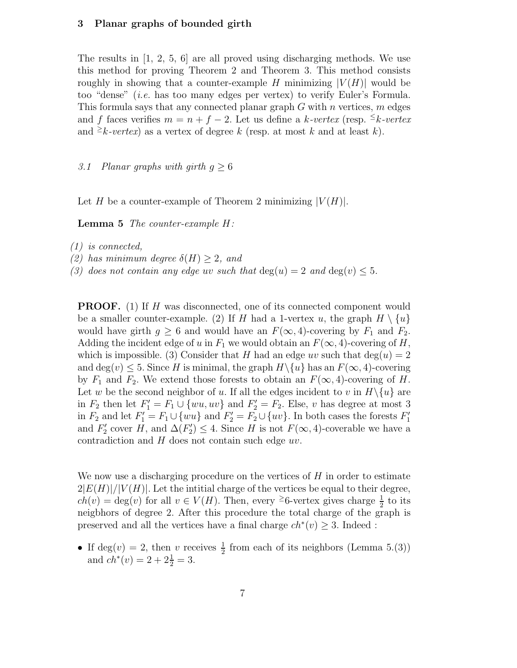## 3 Planar graphs of bounded girth

The results in [1, 2, 5, 6] are all proved using discharging methods. We use this method for proving Theorem 2 and Theorem 3. This method consists roughly in showing that a counter-example H minimizing  $|V(H)|$  would be too "dense" (i.e. has too many edges per vertex) to verify Euler's Formula. This formula says that any connected planar graph  $G$  with n vertices,  $m$  edges and f faces verifies  $m = n + f - 2$ . Let us define a k-vertex (resp.  $\leq k$ -vertex and  $\geq k \text{-}vertex$  as a vertex of degree k (resp. at most k and at least k).

3.1 Planar graphs with girth  $q \geq 6$ 

Let H be a counter-example of Theorem 2 minimizing  $|V(H)|$ .

Lemma 5 The counter-example H:

(1) is connected,

(2) has minimum degree  $\delta(H) \geq 2$ , and

(3) does not contain any edge uv such that  $deg(u) = 2$  and  $deg(v) \leq 5$ .

**PROOF.** (1) If H was disconnected, one of its connected component would be a smaller counter-example. (2) If H had a 1-vertex u, the graph  $H \setminus \{u\}$ would have girth  $g \geq 6$  and would have an  $F(\infty, 4)$ -covering by  $F_1$  and  $F_2$ . Adding the incident edge of u in  $F_1$  we would obtain an  $F(\infty, 4)$ -covering of H, which is impossible. (3) Consider that H had an edge uv such that  $\deg(u) = 2$ and deg(v)  $\leq$  5. Since H is minimal, the graph  $H \setminus \{u\}$  has an  $F(\infty, 4)$ -covering by  $F_1$  and  $F_2$ . We extend those forests to obtain an  $F(\infty, 4)$ -covering of H. Let w be the second neighbor of u. If all the edges incident to v in  $H \setminus \{u\}$  are in  $F_2$  then let  $F_1' = F_1 \cup \{wu, uv\}$  and  $F_2' = F_2$ . Else, v has degree at most 3 in  $F_2$  and let  $F_1' = F_1 \cup \{wu\}$  and  $F_2' = F_2 \cup \{uv\}$ . In both cases the forests  $F_1'$ and  $F'_2$  cover H, and  $\Delta(F'_2) \leq 4$ . Since H is not  $F(\infty, 4)$ -coverable we have a contradiction and  $H$  does not contain such edge  $uv$ .

We now use a discharging procedure on the vertices of  $H$  in order to estimate  $2|E(H)|/|V(H)|$ . Let the intitial charge of the vertices be equal to their degree,  $ch(v) = deg(v)$  for all  $v \in V(H)$ . Then, every <sup>2</sup>6-vertex gives charge  $\frac{1}{2}$  to its neigbhors of degree 2. After this procedure the total charge of the graph is preserved and all the vertices have a final charge  $ch^*(v) \geq 3$ . Indeed :

• If deg(v) = 2, then v receives  $\frac{1}{2}$  from each of its neighbors (Lemma 5.(3)) and  $ch^*(v) = 2 + 2\frac{1}{2} = 3$ .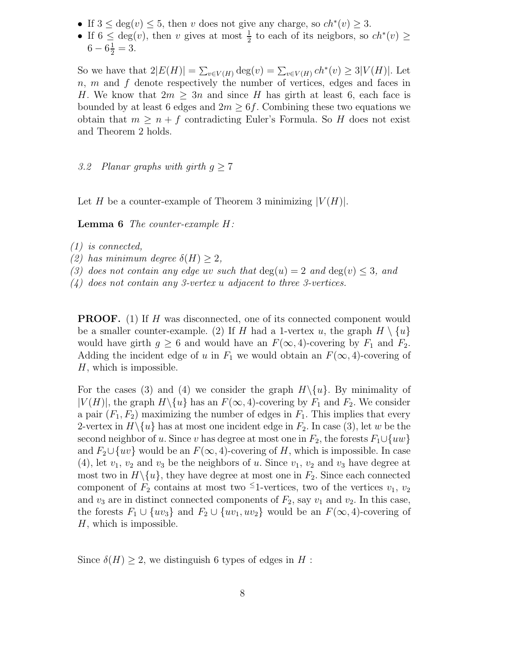- If  $3 \leq deg(v) \leq 5$ , then v does not give any charge, so  $ch^*(v) \geq 3$ .
- If  $6 \leq \deg(v)$ , then v gives at most  $\frac{1}{2}$  to each of its neigbors, so  $ch^*(v) \geq$  $6-6\frac{1}{2}=3.$

So we have that  $2|E(H)| = \sum_{v \in V(H)} \deg(v) = \sum_{v \in V(H)} ch^*(v) \geq 3|V(H)|$ . Let  $n, m$  and  $f$  denote respectively the number of vertices, edges and faces in H. We know that  $2m \geq 3n$  and since H has girth at least 6, each face is bounded by at least 6 edges and  $2m \geq 6f$ . Combining these two equations we obtain that  $m \geq n + f$  contradicting Euler's Formula. So H does not exist and Theorem 2 holds.

3.2 Planar graphs with girth  $q \geq 7$ 

Let H be a counter-example of Theorem 3 minimizing  $|V(H)|$ .

Lemma 6 The counter-example H:

- (1) is connected,
- (2) has minimum degree  $\delta(H) \geq 2$ ,
- (3) does not contain any edge uv such that  $deg(u) = 2$  and  $deg(v) \leq 3$ , and

(4) does not contain any 3-vertex u adjacent to three 3-vertices.

**PROOF.** (1) If H was disconnected, one of its connected component would be a smaller counter-example. (2) If H had a 1-vertex u, the graph  $H \setminus \{u\}$ would have girth  $g \geq 6$  and would have an  $F(\infty, 4)$ -covering by  $F_1$  and  $F_2$ . Adding the incident edge of u in  $F_1$  we would obtain an  $F(\infty, 4)$ -covering of  $H$ , which is impossible.

For the cases (3) and (4) we consider the graph  $H \setminus \{u\}$ . By minimality of  $|V(H)|$ , the graph  $H \setminus \{u\}$  has an  $F(\infty, 4)$ -covering by  $F_1$  and  $F_2$ . We consider a pair  $(F_1, F_2)$  maximizing the number of edges in  $F_1$ . This implies that every 2-vertex in  $H \setminus \{u\}$  has at most one incident edge in  $F_2$ . In case (3), let w be the second neighbor of u. Since v has degree at most one in  $F_2$ , the forests  $F_1 \cup \{uw\}$ and  $F_2 \cup \{uv\}$  would be an  $F(\infty, 4)$ -covering of H, which is impossible. In case (4), let  $v_1$ ,  $v_2$  and  $v_3$  be the neighbors of u. Since  $v_1$ ,  $v_2$  and  $v_3$  have degree at most two in  $H \setminus \{u\}$ , they have degree at most one in  $F_2$ . Since each connected component of  $F_2$  contains at most two <sup>≤</sup>1-vertices, two of the vertices  $v_1, v_2$ and  $v_3$  are in distinct connected components of  $F_2$ , say  $v_1$  and  $v_2$ . In this case, the forests  $F_1 \cup \{uv_3\}$  and  $F_2 \cup \{uv_1, uv_2\}$  would be an  $F(\infty, 4)$ -covering of  $H$ , which is impossible.

Since  $\delta(H) \geq 2$ , we distinguish 6 types of edges in H: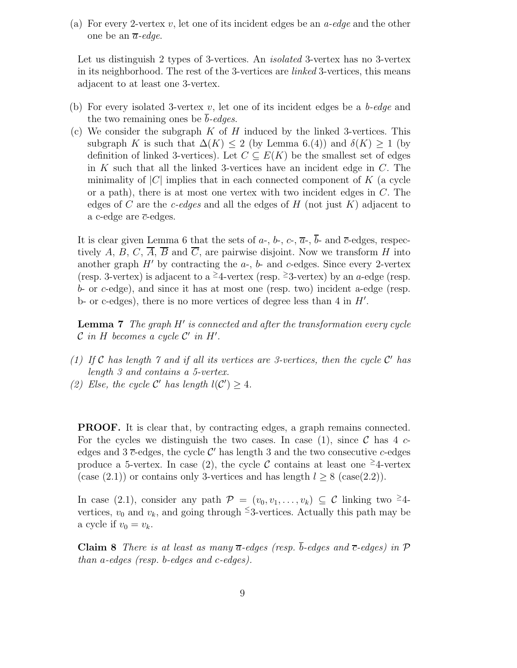(a) For every 2-vertex v, let one of its incident edges be an *a-edge* and the other one be an  $\overline{a}$ -edge.

Let us distinguish 2 types of 3-vertices. An *isolated* 3-vertex has no 3-vertex in its neighborhood. The rest of the 3-vertices are *linked* 3-vertices, this means adjacent to at least one 3-vertex.

- (b) For every isolated 3-vertex v, let one of its incident edges be a  $b$ -edge and the two remaining ones be b-edges.
- (c) We consider the subgraph  $K$  of  $H$  induced by the linked 3-vertices. This subgraph K is such that  $\Delta(K) \leq 2$  (by Lemma 6.(4)) and  $\delta(K) \geq 1$  (by definition of linked 3-vertices). Let  $C \subseteq E(K)$  be the smallest set of edges in  $K$  such that all the linked 3-vertices have an incident edge in  $C$ . The minimality of  $|C|$  implies that in each connected component of K (a cycle or a path), there is at most one vertex with two incident edges in  $C$ . The edges of C are the c-edges and all the edges of H (not just  $K$ ) adjacent to a c-edge are  $\overline{c}$ -edges.

It is clear given Lemma 6 that the sets of  $a$ -,  $b$ -,  $c$ -,  $\overline{a}$ -,  $\overline{b}$ - and  $\overline{c}$ -edges, respectively A, B, C,  $\overline{A}$ ,  $\overline{B}$  and  $\overline{C}$ , are pairwise disjoint. Now we transform H into another graph  $H'$  by contracting the  $a$ -,  $b$ - and  $c$ -edges. Since every 2-vertex (resp. 3-vertex) is adjacent to a <sup>≥</sup>4-vertex (resp. <sup>≥</sup>3-vertex) by an a-edge (resp.  $b$ - or c-edge), and since it has at most one (resp. two) incident a-edge (resp. b- or c-edges), there is no more vertices of degree less than  $4$  in  $H'$ .

**Lemma 7** The graph  $H'$  is connected and after the transformation every cycle  $\mathcal C$  in  $H$  becomes a cycle  $\mathcal C'$  in  $H'.$ 

- (1) If  $C$  has length  $\gamma$  and if all its vertices are 3-vertices, then the cycle  $C'$  has length 3 and contains a 5-vertex.
- (2) Else, the cycle C' has length  $l(C') \geq 4$ .

PROOF. It is clear that, by contracting edges, a graph remains connected. For the cycles we distinguish the two cases. In case (1), since C has  $4c$ edges and  $3 \overline{c}$ -edges, the cycle  $\mathcal{C}'$  has length 3 and the two consecutive c-edges produce a 5-vertex. In case (2), the cycle C contains at least one  $\geq$ 4-vertex (case (2.1)) or contains only 3-vertices and has length  $l \geq 8$  (case(2.2)).

In case (2.1), consider any path  $\mathcal{P} = (v_0, v_1, \ldots, v_k) \subseteq \mathcal{C}$  linking two  $\geq 4$ vertices,  $v_0$  and  $v_k$ , and going through <sup>≤</sup>3-vertices. Actually this path may be a cycle if  $v_0 = v_k$ .

Claim 8 There is at least as many  $\overline{a}$ -edges (resp.  $\overline{b}$ -edges and  $\overline{c}$ -edges) in  $\mathcal P$ than a-edges (resp. b-edges and c-edges).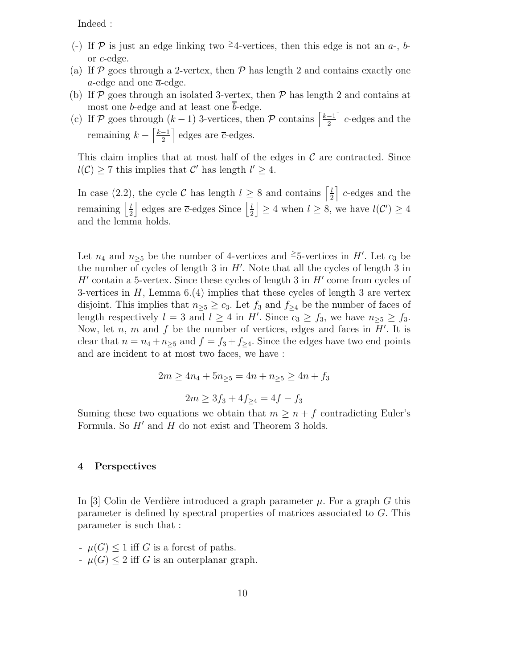Indeed :

- (-) If  $P$  is just an edge linking two <sup>2</sup>4-vertices, then this edge is not an a-, bor c-edge.
- (a) If  $\mathcal P$  goes through a 2-vertex, then  $\mathcal P$  has length 2 and contains exactly one a-edge and one  $\overline{a}$ -edge.
- (b) If  $P$  goes through an isolated 3-vertex, then  $P$  has length 2 and contains at most one b-edge and at least one  $\bar{b}$ -edge.
- (c) If P goes through  $(k-1)$  3-vertices, then P contains  $\frac{k-1}{2}$  $\frac{-1}{2}$  c-edges and the remaining  $k - \left\lceil \frac{k-1}{2} \right\rceil$  $\frac{-1}{2}$  edges are  $\overline{c}$ -edges.

This claim implies that at most half of the edges in  $\mathcal C$  are contracted. Since  $l(\mathcal{C}) \geq 7$  this implies that  $\mathcal{C}'$  has length  $l' \geq 4$ .

In case (2.2), the cycle C has length  $l \geq 8$  and contains  $\left[\frac{l}{2}\right]$  $\frac{l}{2}$  c-edges and the remaining  $\frac{l}{2}$  $\frac{l}{2}$  edges are  $\overline{c}$ -edges Since  $\frac{l}{2}$  $\lfloor \frac{l}{2} \rfloor \geq 4$  when  $l \geq 8$ , we have  $l(\mathcal{C}') \geq 4$ and the lemma holds.

Let  $n_4$  and  $n_{\geq 5}$  be the number of 4-vertices and <sup>2</sup>5-vertices in H'. Let  $c_3$  be the number of cycles of length  $3$  in  $H'$ . Note that all the cycles of length  $3$  in  $H'$  contain a 5-vertex. Since these cycles of length 3 in  $H'$  come from cycles of 3-vertices in  $H$ , Lemma 6.(4) implies that these cycles of length 3 are vertex disjoint. This implies that  $n_{\geq 5} \geq c_3$ . Let  $f_3$  and  $f_{\geq 4}$  be the number of faces of length respectively  $l = 3$  and  $l \geq 4$  in H'. Since  $c_3 \geq f_3$ , we have  $n_{\geq 5} \geq f_3$ . Now, let  $n, m$  and  $f$  be the number of vertices, edges and faces in  $H'$ . It is clear that  $n = n_4 + n_{\geq 5}$  and  $f = f_3 + f_{\geq 4}$ . Since the edges have two end points and are incident to at most two faces, we have :

$$
2m \ge 4n_4 + 5n_{\ge 5} = 4n + n_{\ge 5} \ge 4n + f_3
$$

$$
2m \ge 3f_3 + 4f_{\ge 4} = 4f - f_3
$$

Suming these two equations we obtain that  $m \geq n + f$  contradicting Euler's Formula. So  $H'$  and  $H$  do not exist and Theorem 3 holds.

#### 4 Perspectives

In [3] Colin de Verdière introduced a graph parameter  $\mu$ . For a graph G this parameter is defined by spectral properties of matrices associated to G. This parameter is such that :

 $-\mu(G) \leq 1$  iff G is a forest of paths.  $-\mu(G) \leq 2$  iff G is an outerplanar graph.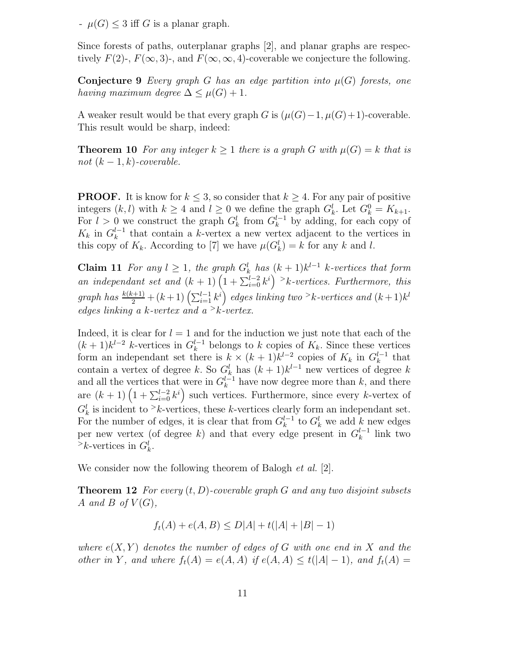$-\mu(G)$  < 3 iff G is a planar graph.

Since forests of paths, outerplanar graphs [2], and planar graphs are respectively  $F(2)$ -,  $F(\infty, 3)$ -, and  $F(\infty, \infty, 4)$ -coverable we conjecture the following.

**Conjecture 9** Every graph G has an edge partition into  $\mu(G)$  forests, one having maximum degree  $\Delta \leq \mu(G) + 1$ .

A weaker result would be that every graph G is  $(\mu(G)-1, \mu(G)+1)$ -coverable. This result would be sharp, indeed:

**Theorem 10** For any integer  $k \geq 1$  there is a graph G with  $\mu(G) = k$  that is not  $(k-1, k)$ -coverable.

**PROOF.** It is know for  $k \leq 3$ , so consider that  $k \geq 4$ . For any pair of positive integers  $(k, l)$  with  $k \geq 4$  and  $l \geq 0$  we define the graph  $G_k^l$ . Let  $G_k^0 = K_{k+1}$ . For  $l > 0$  we construct the graph  $G_k^l$  from  $G_k^{l-1}$  by adding, for each copy of  $K_k$  in  $G_k^{l-1}$  that contain a k-vertex a new vertex adjacent to the vertices in this copy of  $K_k$ . According to [7] we have  $\mu(G_k^l) = k$  for any k and l.

**Claim 11** For any  $l \geq 1$ , the graph  $G_k^l$  has  $(k+1)k^{l-1}$  k-vertices that form an independant set and  $(k + 1)$   $(1 + \sum_{i=0}^{l-2} k^i)^{-i}$  k-vertices. Furthermore, this graph has  $\frac{k(k+1)}{2} + (k+1)\left(\sum_{i=1}^{l-1} k^i\right)$  edges linking two  $\geq k$ -vertices and  $(k+1)k^l$ edges linking a k-vertex and  $a > k$ -vertex.

Indeed, it is clear for  $l = 1$  and for the induction we just note that each of the  $(k+1)k^{l-2}$  k-vertices in  $G_k^{l-1}$  belongs to k copies of  $K_k$ . Since these vertices form an independant set there is  $k \times (k+1)k^{l-2}$  copies of  $K_k$  in  $G_k^{l-1}$  that contain a vertex of degree k. So  $G_k^l$  has  $(k+1)k^{l-1}$  new vertices of degree k and all the vertices that were in  $G_k^{l-1}$  have now degree more than k, and there are  $(k+1)\left(1+\sum_{i=0}^{l-2}k^i\right)$  such vertices. Furthermore, since every k-vertex of  $G_k^l$  is incident to  $\geq k$ -vertices, these k-vertices clearly form an independant set. For the number of edges, it is clear that from  $G_k^{l-1}$  to  $G_k^l$  we add k new edges per new vertex (of degree k) and that every edge present in  $G_k^{l-1}$  link two  $\geq k$ -vertices in  $G_k^l$ .

We consider now the following theorem of Balogh *et al.* [2].

**Theorem 12** For every  $(t, D)$ -coverable graph G and any two disjoint subsets A and B of  $V(G)$ ,

$$
f_t(A) + e(A, B) \le D|A| + t(|A| + |B| - 1)
$$

where  $e(X, Y)$  denotes the number of edges of G with one end in X and the other in Y, and where  $f_t(A) = e(A, A)$  if  $e(A, A) \le t(|A| - 1)$ , and  $f_t(A) =$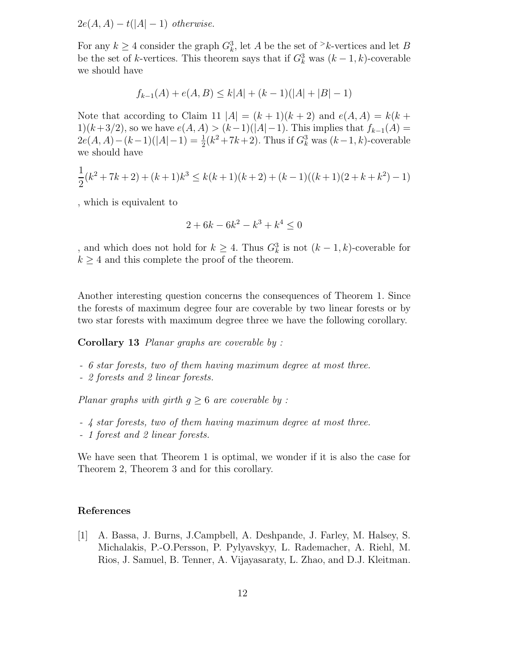$2e(A, A) - t(|A| - 1)$  otherwise.

For any  $k \geq 4$  consider the graph  $G_k^3$ , let A be the set of  $\geq k$ -vertices and let B be the set of k-vertices. This theorem says that if  $G_k^3$  was  $(k-1, k)$ -coverable we should have

$$
f_{k-1}(A) + e(A, B) \le k|A| + (k-1)(|A| + |B| - 1)
$$

Note that according to Claim 11  $|A| = (k+1)(k+2)$  and  $e(A, A) = k(k+1)$ 1)(k+3/2), so we have  $e(A, A) > (k-1)(|A|-1)$ . This implies that  $f_{k-1}(A) =$  $2e(A, A) - (k-1)(|A|-1) = \frac{1}{2}(k^2 + 7k + 2)$ . Thus if  $G_k^3$  was  $(k-1, k)$ -coverable we should have

$$
\frac{1}{2}(k^2 + 7k + 2) + (k+1)k^3 \le k(k+1)(k+2) + (k-1)((k+1)(2+k+k^2) - 1)
$$

, which is equivalent to

$$
2 + 6k - 6k^2 - k^3 + k^4 \le 0
$$

, and which does not hold for  $k \geq 4$ . Thus  $G_k^3$  is not  $(k-1,k)$ -coverable for  $k \geq 4$  and this complete the proof of the theorem.

Another interesting question concerns the consequences of Theorem 1. Since the forests of maximum degree four are coverable by two linear forests or by two star forests with maximum degree three we have the following corollary.

Corollary 13 Planar graphs are coverable by :

- 6 star forests, two of them having maximum degree at most three.
- 2 forests and 2 linear forests.

Planar graphs with girth  $g \geq 6$  are coverable by :

- 4 star forests, two of them having maximum degree at most three.
- 1 forest and 2 linear forests.

We have seen that Theorem 1 is optimal, we wonder if it is also the case for Theorem 2, Theorem 3 and for this corollary.

## References

[1] A. Bassa, J. Burns, J.Campbell, A. Deshpande, J. Farley, M. Halsey, S. Michalakis, P.-O.Persson, P. Pylyavskyy, L. Rademacher, A. Riehl, M. Rios, J. Samuel, B. Tenner, A. Vijayasaraty, L. Zhao, and D.J. Kleitman.